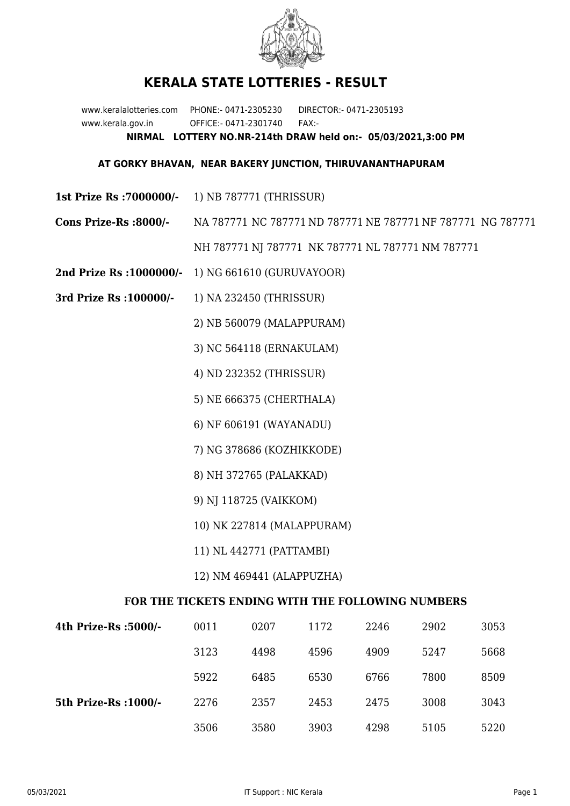

## **KERALA STATE LOTTERIES - RESULT**

www.keralalotteries.com PHONE:- 0471-2305230 DIRECTOR:- 0471-2305193 www.kerala.gov.in OFFICE:- 0471-2301740 FAX:- **NIRMAL LOTTERY NO.NR-214th DRAW held on:- 05/03/2021,3:00 PM**

## **AT GORKY BHAVAN, NEAR BAKERY JUNCTION, THIRUVANANTHAPURAM**

- **1st Prize Rs :7000000/-** 1) NB 787771 (THRISSUR)
- **Cons Prize-Rs :8000/-** NA 787771 NC 787771 ND 787771 NE 787771 NF 787771 NG 787771 NH 787771 NJ 787771 NK 787771 NL 787771 NM 787771
- **2nd Prize Rs :1000000/-** 1) NG 661610 (GURUVAYOOR)
- **3rd Prize Rs :100000/-** 1) NA 232450 (THRISSUR)

2) NB 560079 (MALAPPURAM)

3) NC 564118 (ERNAKULAM)

4) ND 232352 (THRISSUR)

5) NE 666375 (CHERTHALA)

6) NF 606191 (WAYANADU)

7) NG 378686 (KOZHIKKODE)

8) NH 372765 (PALAKKAD)

9) NJ 118725 (VAIKKOM)

10) NK 227814 (MALAPPURAM)

11) NL 442771 (PATTAMBI)

12) NM 469441 (ALAPPUZHA)

## **FOR THE TICKETS ENDING WITH THE FOLLOWING NUMBERS**

| 4th Prize-Rs :5000/-  | 0011 | 0207 | 1172 | 2246 | 2902 | 3053 |
|-----------------------|------|------|------|------|------|------|
|                       | 3123 | 4498 | 4596 | 4909 | 5247 | 5668 |
|                       | 5922 | 6485 | 6530 | 6766 | 7800 | 8509 |
| 5th Prize-Rs : 1000/- | 2276 | 2357 | 2453 | 2475 | 3008 | 3043 |
|                       | 3506 | 3580 | 3903 | 4298 | 5105 | 5220 |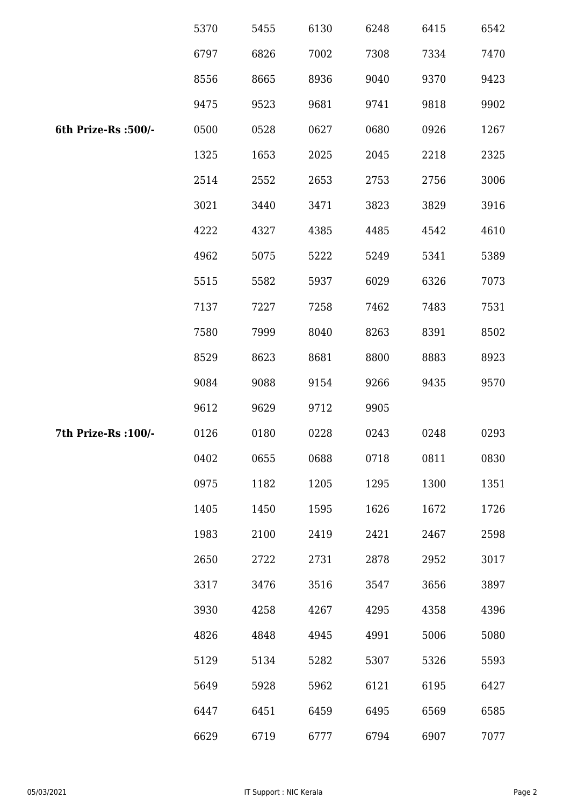|                      | 5370 | 5455 | 6130 | 6248 | 6415 | 6542 |
|----------------------|------|------|------|------|------|------|
|                      | 6797 | 6826 | 7002 | 7308 | 7334 | 7470 |
|                      | 8556 | 8665 | 8936 | 9040 | 9370 | 9423 |
|                      | 9475 | 9523 | 9681 | 9741 | 9818 | 9902 |
| 6th Prize-Rs :500/-  | 0500 | 0528 | 0627 | 0680 | 0926 | 1267 |
|                      | 1325 | 1653 | 2025 | 2045 | 2218 | 2325 |
|                      | 2514 | 2552 | 2653 | 2753 | 2756 | 3006 |
|                      | 3021 | 3440 | 3471 | 3823 | 3829 | 3916 |
|                      | 4222 | 4327 | 4385 | 4485 | 4542 | 4610 |
|                      | 4962 | 5075 | 5222 | 5249 | 5341 | 5389 |
|                      | 5515 | 5582 | 5937 | 6029 | 6326 | 7073 |
|                      | 7137 | 7227 | 7258 | 7462 | 7483 | 7531 |
|                      | 7580 | 7999 | 8040 | 8263 | 8391 | 8502 |
|                      | 8529 | 8623 | 8681 | 8800 | 8883 | 8923 |
|                      | 9084 | 9088 | 9154 | 9266 | 9435 | 9570 |
|                      | 9612 | 9629 | 9712 | 9905 |      |      |
| 7th Prize-Rs : 100/- | 0126 | 0180 | 0228 | 0243 | 0248 | 0293 |
|                      | 0402 | 0655 | 0688 | 0718 | 0811 | 0830 |
|                      | 0975 | 1182 | 1205 | 1295 | 1300 | 1351 |
|                      | 1405 | 1450 | 1595 | 1626 | 1672 | 1726 |
|                      | 1983 | 2100 | 2419 | 2421 | 2467 | 2598 |
|                      | 2650 | 2722 | 2731 | 2878 | 2952 | 3017 |
|                      | 3317 | 3476 | 3516 | 3547 | 3656 | 3897 |
|                      | 3930 | 4258 | 4267 | 4295 | 4358 | 4396 |
|                      | 4826 | 4848 | 4945 | 4991 | 5006 | 5080 |
|                      | 5129 | 5134 | 5282 | 5307 | 5326 | 5593 |
|                      | 5649 | 5928 | 5962 | 6121 | 6195 | 6427 |
|                      | 6447 | 6451 | 6459 | 6495 | 6569 | 6585 |
|                      | 6629 | 6719 | 6777 | 6794 | 6907 | 7077 |